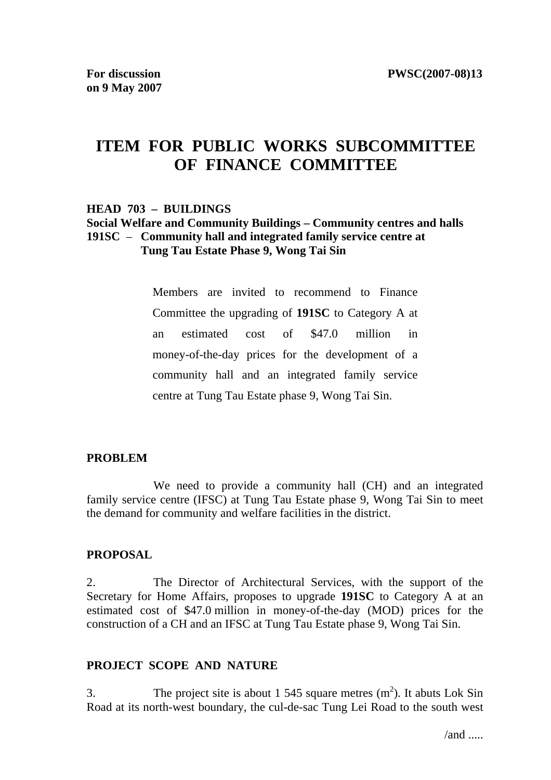# **ITEM FOR PUBLIC WORKS SUBCOMMITTEE OF FINANCE COMMITTEE**

#### **HEAD 703 – BUILDINGS**

#### **Social Welfare and Community Buildings – Community centres and halls 191SC** – **Community hall and integrated family service centre at Tung Tau Estate Phase 9, Wong Tai Sin**

Members are invited to recommend to Finance Committee the upgrading of **191SC** to Category A at an estimated cost of \$47.0 million in money-of-the-day prices for the development of a community hall and an integrated family service centre at Tung Tau Estate phase 9, Wong Tai Sin.

#### **PROBLEM**

 We need to provide a community hall (CH) and an integrated family service centre (IFSC) at Tung Tau Estate phase 9, Wong Tai Sin to meet the demand for community and welfare facilities in the district.

#### **PROPOSAL**

2. The Director of Architectural Services, with the support of the Secretary for Home Affairs, proposes to upgrade **191SC** to Category A at an estimated cost of \$47.0 million in money-of-the-day (MOD) prices for the construction of a CH and an IFSC at Tung Tau Estate phase 9, Wong Tai Sin.

#### **PROJECT SCOPE AND NATURE**

3. The project site is about 1 545 square metres  $(m<sup>2</sup>)$ . It abuts Lok Sin Road at its north-west boundary, the cul-de-sac Tung Lei Road to the south west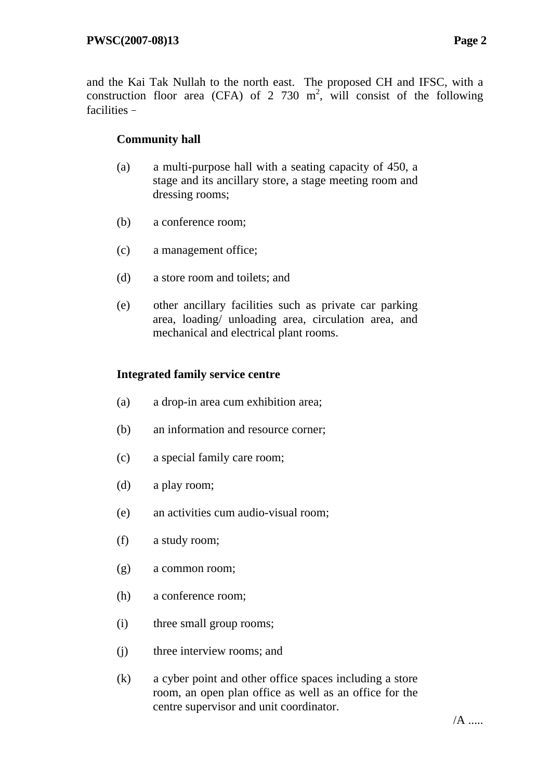and the Kai Tak Nullah to the north east. The proposed CH and IFSC, with a construction floor area (CFA) of 2 730  $m^2$ , will consist of the following facilities–

### **Community hall**

- (a) a multi-purpose hall with a seating capacity of 450, a stage and its ancillary store, a stage meeting room and dressing rooms;
- (b) a conference room;
- (c) a management office;
- (d) a store room and toilets; and
- (e) other ancillary facilities such as private car parking area, loading/ unloading area, circulation area, and mechanical and electrical plant rooms.

### **Integrated family service centre**

- (a) a drop-in area cum exhibition area;
- (b) an information and resource corner;
- (c) a special family care room;
- (d) a play room;
- (e) an activities cum audio-visual room;
- (f) a study room;
- (g) a common room;
- (h) a conference room;
- (i) three small group rooms;
- (j) three interview rooms; and
- (k) a cyber point and other office spaces including a store room, an open plan office as well as an office for the centre supervisor and unit coordinator.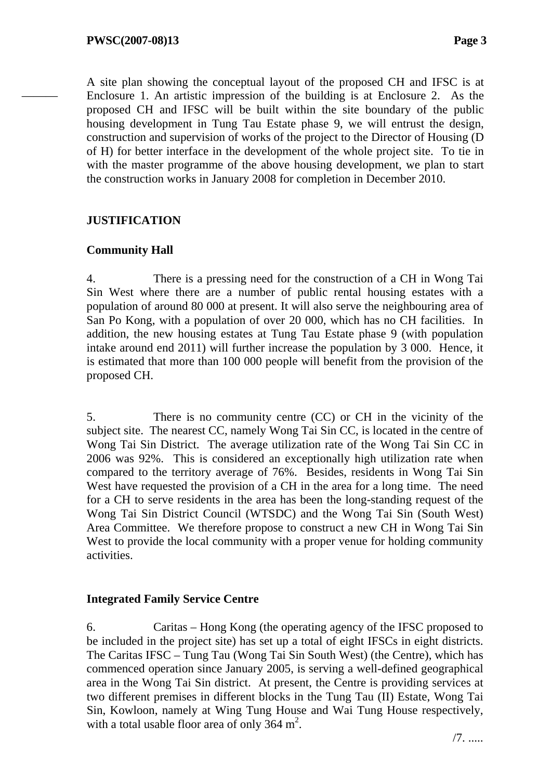———

A site plan showing the conceptual layout of the proposed CH and IFSC is at Enclosure 1. An artistic impression of the building is at Enclosure 2. As the proposed CH and IFSC will be built within the site boundary of the public housing development in Tung Tau Estate phase 9, we will entrust the design, construction and supervision of works of the project to the Director of Housing (D of H) for better interface in the development of the whole project site. To tie in with the master programme of the above housing development, we plan to start the construction works in January 2008 for completion in December 2010.

### **JUSTIFICATION**

### **Community Hall**

4. There is a pressing need for the construction of a CH in Wong Tai Sin West where there are a number of public rental housing estates with a population of around 80 000 at present. It will also serve the neighbouring area of San Po Kong, with a population of over 20 000, which has no CH facilities. In addition, the new housing estates at Tung Tau Estate phase 9 (with population intake around end 2011) will further increase the population by 3 000. Hence, it is estimated that more than 100 000 people will benefit from the provision of the proposed CH.

5. There is no community centre (CC) or CH in the vicinity of the subject site. The nearest CC, namely Wong Tai Sin CC, is located in the centre of Wong Tai Sin District. The average utilization rate of the Wong Tai Sin CC in 2006 was 92%. This is considered an exceptionally high utilization rate when compared to the territory average of 76%. Besides, residents in Wong Tai Sin West have requested the provision of a CH in the area for a long time. The need for a CH to serve residents in the area has been the long-standing request of the Wong Tai Sin District Council (WTSDC) and the Wong Tai Sin (South West) Area Committee. We therefore propose to construct a new CH in Wong Tai Sin West to provide the local community with a proper venue for holding community activities.

### **Integrated Family Service Centre**

6. Caritas – Hong Kong (the operating agency of the IFSC proposed to be included in the project site) has set up a total of eight IFSCs in eight districts. The Caritas IFSC – Tung Tau (Wong Tai Sin South West) (the Centre), which has commenced operation since January 2005, is serving a well-defined geographical area in the Wong Tai Sin district. At present, the Centre is providing services at two different premises in different blocks in the Tung Tau (II) Estate, Wong Tai Sin, Kowloon, namely at Wing Tung House and Wai Tung House respectively, with a total usable floor area of only  $364 \text{ m}^2$ .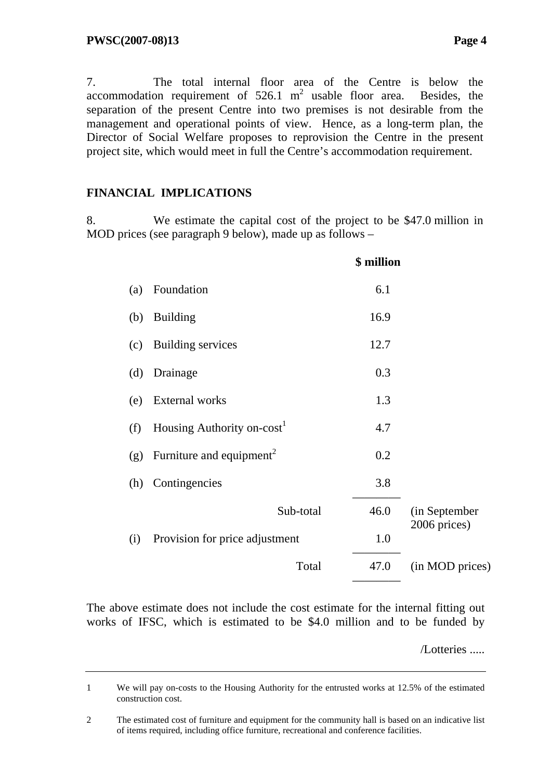7. The total internal floor area of the Centre is below the accommodation requirement of  $526.1 \text{ m}^2$  usable floor area. Besides, the separation of the present Centre into two premises is not desirable from the management and operational points of view. Hence, as a long-term plan, the Director of Social Welfare proposes to reprovision the Centre in the present project site, which would meet in full the Centre's accommodation requirement.

# **FINANCIAL IMPLICATIONS**

8. We estimate the capital cost of the project to be \$47.0 million in MOD prices (see paragraph 9 below), made up as follows –

|     |                                        | \$ million |                 |
|-----|----------------------------------------|------------|-----------------|
| (a) | Foundation                             | 6.1        |                 |
| (b) | <b>Building</b>                        | 16.9       |                 |
| (c) | <b>Building services</b>               | 12.7       |                 |
| (d) | Drainage                               | 0.3        |                 |
| (e) | <b>External</b> works                  | 1.3        |                 |
| (f) | Housing Authority on-cost <sup>1</sup> | 4.7        |                 |
| (g) | Furniture and equipment <sup>2</sup>   | 0.2        |                 |
| (h) | Contingencies                          | 3.8        |                 |
|     | Sub-total                              | 46.0       | (in September   |
| (i) | Provision for price adjustment         | 1.0        | 2006 prices)    |
|     | Total                                  | 47.0       | (in MOD prices) |
|     |                                        |            |                 |

The above estimate does not include the cost estimate for the internal fitting out works of IFSC, which is estimated to be \$4.0 million and to be funded by

/Lotteries .....

<sup>1</sup> We will pay on-costs to the Housing Authority for the entrusted works at 12.5% of the estimated construction cost.

<sup>2</sup> The estimated cost of furniture and equipment for the community hall is based on an indicative list of items required, including office furniture, recreational and conference facilities.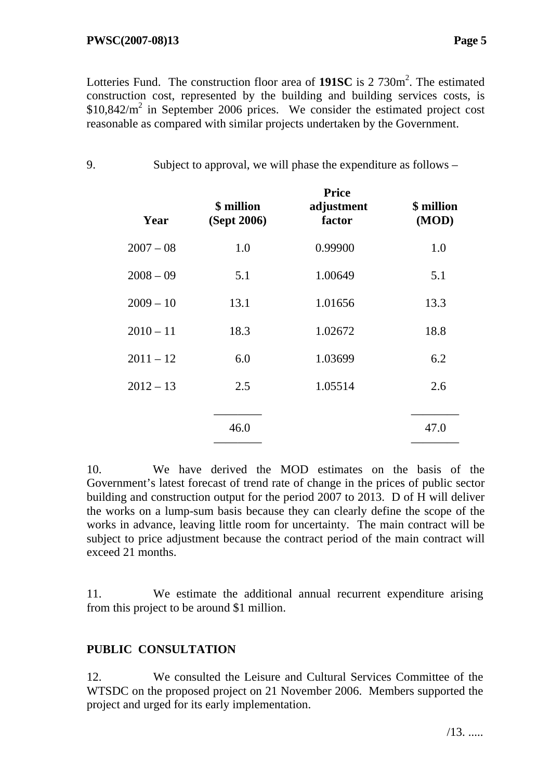Lotteries Fund. The construction floor area of 191SC is 2 730m<sup>2</sup>. The estimated construction cost, represented by the building and building services costs, is  $$10,842/m<sup>2</sup>$  in September 2006 prices. We consider the estimated project cost reasonable as compared with similar projects undertaken by the Government.

9. Subject to approval, we will phase the expenditure as follows –

| Year        | \$ million<br>(Sept 2006) | <b>Price</b><br>adjustment<br>factor | \$ million<br>(MOD) |
|-------------|---------------------------|--------------------------------------|---------------------|
| $2007 - 08$ | 1.0                       | 0.99900                              | 1.0                 |
| $2008 - 09$ | 5.1                       | 1.00649                              | 5.1                 |
| $2009 - 10$ | 13.1                      | 1.01656                              | 13.3                |
| $2010 - 11$ | 18.3                      | 1.02672                              | 18.8                |
| $2011 - 12$ | 6.0                       | 1.03699                              | 6.2                 |
| $2012 - 13$ | 2.5                       | 1.05514                              | 2.6                 |
|             |                           |                                      |                     |
|             | 46.0                      |                                      | 47.0                |
|             |                           |                                      |                     |

10. We have derived the MOD estimates on the basis of the Government's latest forecast of trend rate of change in the prices of public sector building and construction output for the period 2007 to 2013. D of H will deliver the works on a lump-sum basis because they can clearly define the scope of the works in advance, leaving little room for uncertainty. The main contract will be subject to price adjustment because the contract period of the main contract will exceed 21 months.

11. We estimate the additional annual recurrent expenditure arising from this project to be around \$1 million.

# **PUBLIC CONSULTATION**

12. We consulted the Leisure and Cultural Services Committee of the WTSDC on the proposed project on 21 November 2006. Members supported the project and urged for its early implementation.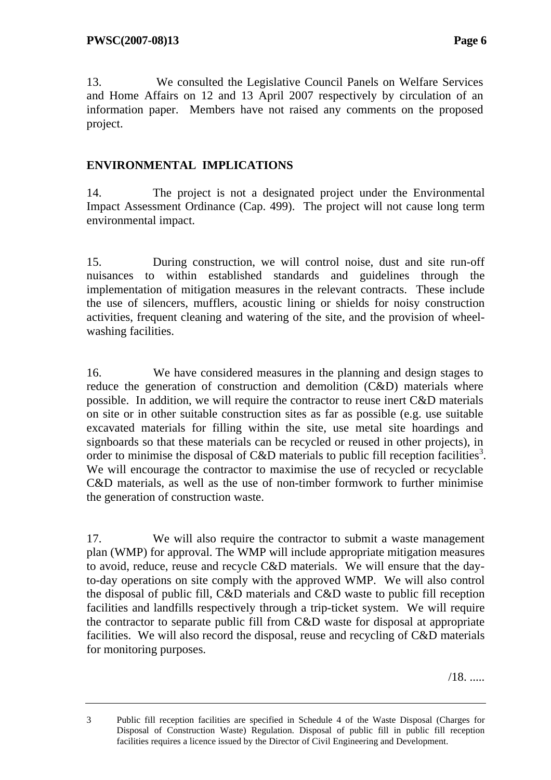13. We consulted the Legislative Council Panels on Welfare Services and Home Affairs on 12 and 13 April 2007 respectively by circulation of an information paper. Members have not raised any comments on the proposed project.

### **ENVIRONMENTAL IMPLICATIONS**

14. The project is not a designated project under the Environmental Impact Assessment Ordinance (Cap. 499). The project will not cause long term environmental impact.

15. During construction, we will control noise, dust and site run-off nuisances to within established standards and guidelines through the implementation of mitigation measures in the relevant contracts. These include the use of silencers, mufflers, acoustic lining or shields for noisy construction activities, frequent cleaning and watering of the site, and the provision of wheelwashing facilities.

16. We have considered measures in the planning and design stages to reduce the generation of construction and demolition (C&D) materials where possible. In addition, we will require the contractor to reuse inert C&D materials on site or in other suitable construction sites as far as possible (e.g. use suitable excavated materials for filling within the site, use metal site hoardings and signboards so that these materials can be recycled or reused in other projects), in order to minimise the disposal of C&D materials to public fill reception facilities<sup>3</sup>. We will encourage the contractor to maximise the use of recycled or recyclable C&D materials, as well as the use of non-timber formwork to further minimise the generation of construction waste.

17. We will also require the contractor to submit a waste management plan (WMP) for approval. The WMP will include appropriate mitigation measures to avoid, reduce, reuse and recycle C&D materials. We will ensure that the dayto-day operations on site comply with the approved WMP. We will also control the disposal of public fill, C&D materials and C&D waste to public fill reception facilities and landfills respectively through a trip-ticket system. We will require the contractor to separate public fill from C&D waste for disposal at appropriate facilities. We will also record the disposal, reuse and recycling of C&D materials for monitoring purposes.

/18. .....

<sup>3</sup> Public fill reception facilities are specified in Schedule 4 of the Waste Disposal (Charges for Disposal of Construction Waste) Regulation. Disposal of public fill in public fill reception facilities requires a licence issued by the Director of Civil Engineering and Development.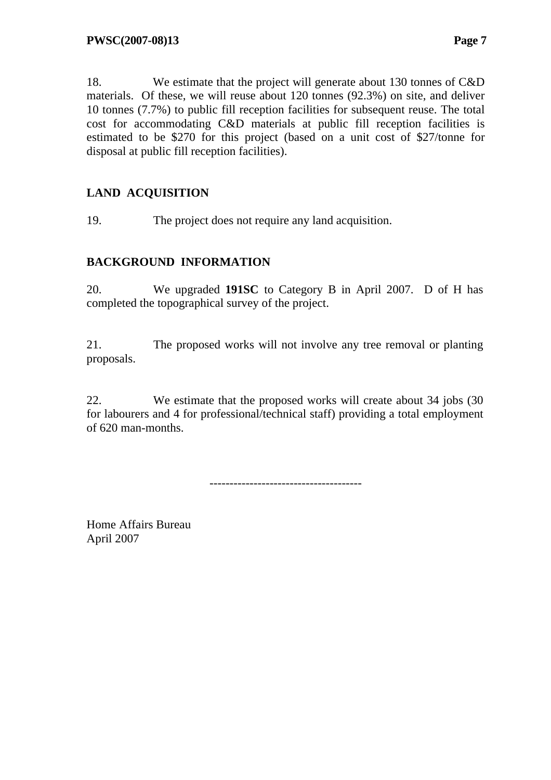18. We estimate that the project will generate about 130 tonnes of C&D materials. Of these, we will reuse about 120 tonnes (92.3%) on site, and deliver

10 tonnes (7.7%) to public fill reception facilities for subsequent reuse. The total cost for accommodating C&D materials at public fill reception facilities is estimated to be \$270 for this project (based on a unit cost of \$27/tonne for disposal at public fill reception facilities).

# **LAND ACQUISITION**

19. The project does not require any land acquisition.

# **BACKGROUND INFORMATION**

20. We upgraded **191SC** to Category B in April 2007. D of H has completed the topographical survey of the project.

21. The proposed works will not involve any tree removal or planting proposals.

22. We estimate that the proposed works will create about 34 jobs (30 for labourers and 4 for professional/technical staff) providing a total employment of 620 man-months.

--------------------------------------

Home Affairs Bureau April 2007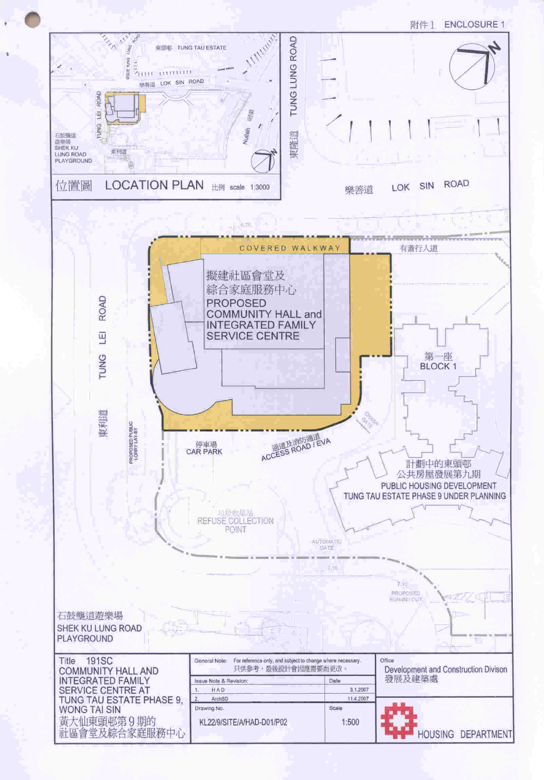